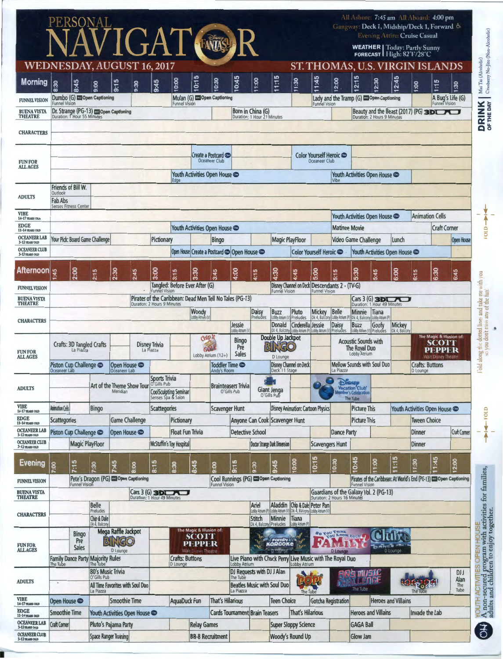|                                        | PERSONAL                                                                        |                                 |                                                                                   |                                                                      |                                                                                                                  |                             |                                                                       |                                          | NAVIGAT NE R                                                  |                                                             |                                                  |                                                                                 |                                                                               |                                                                       |                                                                                             | All Ashore: 7:45 am All Aboard: 4:00 pm<br>Gangway: Deck 1, Midship/Deck 1, Forward & |                                    | <b>Evening Attire: Cruise Casual</b> |                                                                                         |                                          |      |
|----------------------------------------|---------------------------------------------------------------------------------|---------------------------------|-----------------------------------------------------------------------------------|----------------------------------------------------------------------|------------------------------------------------------------------------------------------------------------------|-----------------------------|-----------------------------------------------------------------------|------------------------------------------|---------------------------------------------------------------|-------------------------------------------------------------|--------------------------------------------------|---------------------------------------------------------------------------------|-------------------------------------------------------------------------------|-----------------------------------------------------------------------|---------------------------------------------------------------------------------------------|---------------------------------------------------------------------------------------|------------------------------------|--------------------------------------|-----------------------------------------------------------------------------------------|------------------------------------------|------|
|                                        |                                                                                 |                                 |                                                                                   |                                                                      |                                                                                                                  |                             |                                                                       |                                          |                                                               |                                                             |                                                  |                                                                                 |                                                                               |                                                                       |                                                                                             | <b>WEATHER</b>   Today: Partly Sunny                                                  |                                    | FORECAST High: 82°F/28°C             |                                                                                         |                                          |      |
| WEDNESDAY, AUGUST 16, 2017             |                                                                                 |                                 |                                                                                   |                                                                      |                                                                                                                  |                             |                                                                       | s                                        |                                                               |                                                             |                                                  | 5                                                                               |                                                                               |                                                                       |                                                                                             | <b>ST. THOMAS, U.S. VIRGI</b><br>5                                                    |                                    |                                      |                                                                                         | ANDS<br>Б                                |      |
| <b>Morning</b>                         | 8:30                                                                            | 8:45                            | 9:00                                                                              | 9:15                                                                 | 9:30                                                                                                             | 9:45                        | 10:00                                                                 | E                                        | 0:30                                                          | 10:45                                                       | 11:00                                            | 111                                                                             | 11:30                                                                         | 1:45                                                                  | 2:00                                                                                        | 2:7                                                                                   | 12:30                              | 12:45                                | 1.00                                                                                    | 17                                       | 1:30 |
| <b>FUNNEL VISION</b>                   | Dumbo (G) co Open Captioning<br><b>Funnel Vision</b>                            |                                 |                                                                                   |                                                                      |                                                                                                                  |                             | <b>Funnel Vision</b>                                                  |                                          | Mulan (G) Co Open Captioning                                  |                                                             |                                                  |                                                                                 |                                                                               | <b>Funnel Vision</b>                                                  |                                                                                             | Lady and the Tramp (G) Copen Captioning                                               |                                    |                                      |                                                                                         | A Bug's Life (G)<br><b>Funnel Vision</b> |      |
| <b>BUENA VISTA</b><br><b>THEATRE</b>   |                                                                                 |                                 |                                                                                   | Dr. Strange (PG-13) @ Open Captioning<br>Duration: 1 Hour 55 Minutes |                                                                                                                  |                             |                                                                       |                                          |                                                               |                                                             | Born in China (G)<br>Duration: 1 Hour 21 Minutes |                                                                                 |                                                                               |                                                                       |                                                                                             | Duration: 2 Hours 9 Minutes                                                           |                                    |                                      |                                                                                         | Beauty and the Beast (2017) (PG) 3DLAU   |      |
| <b>CHARACTERS</b>                      |                                                                                 |                                 |                                                                                   |                                                                      |                                                                                                                  |                             |                                                                       |                                          |                                                               |                                                             |                                                  |                                                                                 |                                                                               |                                                                       |                                                                                             |                                                                                       |                                    |                                      |                                                                                         |                                          |      |
| <b>FUN FOR</b><br><b>ALL AGES</b>      |                                                                                 |                                 |                                                                                   |                                                                      |                                                                                                                  |                             |                                                                       | Create a Postcard CO<br>Oceaneer Club    |                                                               |                                                             |                                                  | Color Yourself Heroic CO<br>Oceaneer Club                                       |                                                                               |                                                                       | Youth Activities Open House                                                                 |                                                                                       |                                    |                                      |                                                                                         |                                          |      |
|                                        |                                                                                 |                                 |                                                                                   |                                                                      |                                                                                                                  |                             |                                                                       |                                          | Youth Activities Open House                                   |                                                             |                                                  |                                                                                 |                                                                               |                                                                       |                                                                                             |                                                                                       |                                    |                                      |                                                                                         |                                          |      |
| <b>ADULTS</b>                          | Friends of Bill W.<br>Outlook<br><b>Fab Abs</b><br><b>Senses Fitness Center</b> |                                 |                                                                                   |                                                                      |                                                                                                                  |                             |                                                                       |                                          |                                                               |                                                             |                                                  |                                                                                 |                                                                               |                                                                       |                                                                                             |                                                                                       |                                    |                                      |                                                                                         |                                          |      |
| <b>VIBE</b><br>14-17 YEARS OLD         |                                                                                 |                                 |                                                                                   |                                                                      |                                                                                                                  |                             |                                                                       |                                          |                                                               |                                                             |                                                  |                                                                                 |                                                                               | Youth Activities Open House                                           |                                                                                             |                                                                                       | <b>Animation Cells</b>             |                                      |                                                                                         |                                          |      |
| <b>EDGE</b><br>11-14 YEARS OLD         |                                                                                 |                                 |                                                                                   | Youth Activities Open House                                          |                                                                                                                  |                             |                                                                       |                                          |                                                               |                                                             |                                                  |                                                                                 | <b>Matinee Movie</b>                                                          |                                                                       |                                                                                             | <b>Craft Corner</b>                                                                   |                                    |                                      |                                                                                         |                                          |      |
| <b>OCEANEER LAB</b><br>3-12 YEARS OLD  |                                                                                 | Your Pick: Board Game Challenge |                                                                                   |                                                                      |                                                                                                                  | Pictionary<br><b>Bingo</b>  |                                                                       |                                          |                                                               | <b>Magic PlayFloor</b>                                      |                                                  |                                                                                 |                                                                               | <b>Video Game Challenge</b><br>Lunch                                  |                                                                                             |                                                                                       |                                    |                                      |                                                                                         | Open House                               |      |
| <b>OCEANEER CLUB</b><br>3-12 YEARS OLD |                                                                                 |                                 |                                                                                   |                                                                      |                                                                                                                  |                             |                                                                       |                                          | Open House Create a Postcard C Open House                     |                                                             |                                                  |                                                                                 |                                                                               | Color Yourself Heroic Co                                              |                                                                                             | Youth Activities Open House                                                           |                                    |                                      |                                                                                         |                                          |      |
| <b>Afternoon</b>                       | 1:45                                                                            | 2:00                            | 2:15                                                                              | 2:30                                                                 | 2:45                                                                                                             | 3:00                        | 3:15                                                                  | 3:30                                     | 3:45                                                          | 4:00                                                        | s<br>$\frac{1}{4}$                               | 4:30                                                                            | 4:45                                                                          | 5:00                                                                  | 5:15                                                                                        | 5:30                                                                                  | 5:45                               | 6:00                                 | 6:15                                                                                    | 6:30                                     | 6:45 |
| <b>FUNNEL VISION</b>                   |                                                                                 |                                 |                                                                                   |                                                                      |                                                                                                                  | <b>Funnel Vision</b>        | Tangled: Before Ever After (G)                                        |                                          |                                                               |                                                             |                                                  | <b>Funnel Vision</b>                                                            |                                                                               | Disney Channel on Deck Descendants 2 - (TV-G)<br><b>Funnel Vision</b> |                                                                                             |                                                                                       |                                    |                                      |                                                                                         |                                          |      |
| <b>BUENAVISTA</b><br><b>THEATRE</b>    |                                                                                 |                                 |                                                                                   |                                                                      |                                                                                                                  | Duration: 2 Hours 9 Minutes |                                                                       |                                          | Pirates of the Caribbean: Dead Men Tell No Tales (PG-13)      |                                                             |                                                  |                                                                                 |                                                                               |                                                                       |                                                                                             | Cars 3 (G) 3 D) Minutes                                                               |                                    |                                      |                                                                                         |                                          |      |
| <b>CHARACTERS</b>                      |                                                                                 |                                 |                                                                                   |                                                                      |                                                                                                                  |                             |                                                                       | Woody<br>Lobby Atrium (V                 |                                                               |                                                             | Daisy<br>Preludes                                | <b>Buzz</b><br>Lobby Atrium                                                     | Pluto<br>Preludes                                                             | Mickey<br>Dk 4, Balcon                                                | Belle<br>Lobby Atriu                                                                        | Minnie<br>Dk 4, Balcony                                                               | Tiana<br>Lobby Atrium (P)          |                                      |                                                                                         |                                          |      |
|                                        |                                                                                 |                                 |                                                                                   |                                                                      |                                                                                                                  |                             |                                                                       |                                          |                                                               | Jessie<br>muith voldo.                                      |                                                  | Donald                                                                          | Cinderella Jessie<br>Dk 4, Balcony Lobby Atrium (P)                           | Lobby Atrium (                                                        | <b>Daisy</b><br>Prelude:                                                                    | Buzz<br>Lobby Atrium (1                                                               | Goofy<br>Preludes                  | Mickey<br>Dk 4. Balcon               |                                                                                         |                                          |      |
| <b>FUN FOR</b><br><b>ALL AGES</b>      | Crafts: 3D Tangled Crafts<br><b>Disney Trivia</b><br>La Piazza<br>La Piazza     |                                 |                                                                                   |                                                                      |                                                                                                                  |                             | Clyb <sub>II</sub><br>601<br>Lobby Atrium $(12+)$                     |                                          |                                                               | <b>Bingo</b><br>Pre<br>Sales                                |                                                  | Double Up Jackpot<br><b>BINGO</b><br>D Lounge                                   |                                                                               |                                                                       | <b>Acoustic Sounds with</b><br>The Royal Duo<br>Lobby Atrium                                |                                                                                       |                                    |                                      | The Magic & Illusion of:<br><b>SCOTT</b><br><b>PEPPER</b><br><b>Walt Disney Theatre</b> |                                          |      |
|                                        | Piston Cup Challenge Co<br>Open House                                           |                                 |                                                                                   |                                                                      |                                                                                                                  |                             | Toddler Time  s<br>Andy's Room                                        |                                          |                                                               | <b>Disney Channel on Deck</b><br>Deck 11 Stage              |                                                  |                                                                                 | La Piazza                                                                     | <b>Mellow Sounds with Soul Duo</b>                                    |                                                                                             |                                                                                       | <b>Crafts: Buttons</b><br>D Lounge |                                      |                                                                                         |                                          |      |
| <b>ADULTS</b>                          | Oceaneer Lab<br>Oceaneer Lab<br>Art of the Theme Show Tour<br>Meridian          |                                 |                                                                                   |                                                                      | Sports Trivia<br><b>Brainteasers Trivia</b><br><b>CoolSculpting Seminar</b><br>O'Gills Pub<br>Senses Spa & Salon |                             |                                                                       |                                          |                                                               | Giant Jenga<br>O'Gills Pub                                  |                                                  |                                                                                 | Disney<br>Vacation Club<br>ber's Celebration<br>The Tube                      |                                                                       |                                                                                             |                                                                                       |                                    |                                      |                                                                                         |                                          |      |
| <b>VIBE</b><br>14-17 YEARS OLD         | <b>Animation Cells</b>                                                          |                                 | Bingo                                                                             |                                                                      |                                                                                                                  | Scattegories                |                                                                       |                                          | <b>Scavenger Hunt</b>                                         |                                                             |                                                  |                                                                                 |                                                                               | <b>Disney Animation: Cartoon Physics</b>                              |                                                                                             | <b>Picture This</b>                                                                   |                                    |                                      |                                                                                         | Youth Activities Open House              |      |
| <b>EDGE</b><br>11-14 YEARS OLD         | <b>Scattegories</b>                                                             |                                 |                                                                                   | <b>Game Challenge</b>                                                |                                                                                                                  |                             | Pictionary                                                            |                                          |                                                               |                                                             |                                                  | Anyone Can Cook Scavenger Hunt                                                  |                                                                               |                                                                       |                                                                                             | <b>Picture This</b>                                                                   |                                    |                                      | <b>Tween Choice</b>                                                                     |                                          |      |
| <b>OCEANEER LAB</b><br>3-12 YEARS OLD  | Piston Cup Challenge Co                                                         |                                 |                                                                                   | Open House                                                           |                                                                                                                  |                             | <b>Float Fun Trivia</b>                                               |                                          | Detective School                                              |                                                             |                                                  |                                                                                 |                                                                               |                                                                       | <b>Dance Party</b>                                                                          |                                                                                       |                                    | <b>Dinner</b>                        |                                                                                         | <b>Craft Corner</b>                      |      |
| <b>OCEANEER CLUB</b><br>3-12 YEARS OLD |                                                                                 | <b>Magic PlayFloor</b>          |                                                                                   |                                                                      |                                                                                                                  |                             | McStuffin's Toy Hospital                                              |                                          |                                                               |                                                             |                                                  | <b>Doctor Strange Dark Dimension</b>                                            |                                                                               | <b>Scavengers Hunt</b>                                                |                                                                                             |                                                                                       |                                    |                                      | <b>Dinner</b>                                                                           |                                          |      |
| <b>Evening</b>                         | 7:00                                                                            | 7:15                            | 7:30                                                                              | 45                                                                   | 8:00                                                                                                             | 8:15                        | 8:30                                                                  | 8:45                                     | 9:00                                                          | 9:15                                                        | 9:30                                             | 9:45                                                                            | 0:00                                                                          | S<br>G                                                                | 0:30                                                                                        | 0:45                                                                                  | 1:00                               | 5<br>H                               | 1:30                                                                                    | 1:45                                     | 2:00 |
| <b>FUNNEL VISION</b>                   |                                                                                 | <b>Funnel Vision</b>            |                                                                                   | Pete's Dragon (PG) Co Open Captioning                                |                                                                                                                  |                             |                                                                       |                                          | Cool Runnings (PG) Co Open Captioning<br><b>Funnel Vision</b> |                                                             |                                                  |                                                                                 |                                                                               |                                                                       | Pirates of the Caribbean: At World's End (PG-13) Co Open Captioning<br><b>Funnel Vision</b> |                                                                                       |                                    |                                      |                                                                                         |                                          |      |
| <b>BUENA VISTA</b><br><b>THEATRE</b>   |                                                                                 |                                 |                                                                                   |                                                                      |                                                                                                                  |                             | Cars 3 (G)<br>Duration: 1 Hour 49 Minutes                             |                                          |                                                               |                                                             |                                                  |                                                                                 |                                                                               |                                                                       |                                                                                             | Guardians of the Galaxy Vol. 2 (PG-13)<br>Duration: 2 Hours 16 Minutes                |                                    |                                      |                                                                                         |                                          |      |
| <b>CHARACTERS</b>                      |                                                                                 |                                 | <b>Belle</b><br>Preludes<br>Chip & Dale<br>Dk 4, Balcony                          |                                                                      |                                                                                                                  |                             |                                                                       |                                          |                                                               |                                                             | Ariel<br>obby Atrium<br>Stitch<br>Dk 4, Balcor   | Aladdin<br>Lobby Atrium (V) Dk 4, Balcony Lobby Atrium (V<br>Minnie<br>Preludes | Tiana<br>obby Atrium                                                          | Chip & Dale Peter Pan                                                 |                                                                                             |                                                                                       |                                    |                                      |                                                                                         |                                          |      |
|                                        |                                                                                 | <b>Bingo</b>                    |                                                                                   | Mega Raffle Jackpot                                                  |                                                                                                                  |                             |                                                                       | The Magic & Illusion of:<br><b>SCOTT</b> |                                                               |                                                             |                                                  |                                                                                 |                                                                               |                                                                       | <b>SO YOU THINK</b>                                                                         |                                                                                       |                                    |                                      |                                                                                         |                                          |      |
| <b>FUN FOR<br/>ALL AGES</b>            | Pre<br>Sales                                                                    |                                 | BINGO<br>D Lounge<br><b>Family Dance Party Majority Rules</b>                     |                                                                      |                                                                                                                  |                             | <b>PEPPER</b><br><b>Walt Disney Theatre</b><br><b>Crafts: Buttons</b> |                                          |                                                               | <b>Fomily &amp;</b>                                         |                                                  |                                                                                 | 24 M<br>D Lounge<br>Live Piano with Chuck Perry Live Music with The Royal Duo |                                                                       |                                                                                             |                                                                                       | <b>DANCE ON</b>                    | D Lounge                             |                                                                                         |                                          |      |
|                                        | The Tube                                                                        |                                 | D Lounge                                                                          |                                                                      |                                                                                                                  | <b>Lobby Atrium</b>         |                                                                       |                                          | DJ Requests with DJ J Alan                                    |                                                             |                                                  | <b>Lobby Atrium</b>                                                             |                                                                               |                                                                       |                                                                                             |                                                                                       |                                    |                                      | <b>DJJ</b>                                                                              |                                          |      |
| <b>ADULTS</b>                          | ٠                                                                               |                                 | 80's Music Trivia<br>O'Gills Pub<br>All Time Favorites with Soul Duo<br>La Piazza |                                                                      |                                                                                                                  |                             |                                                                       |                                          |                                                               | The Tube<br><b>Beatles Music with Soul Duo</b><br>La Piazza |                                                  | The Tube                                                                        |                                                                               |                                                                       | music<br><b>WENGE</b><br>The Tube                                                           |                                                                                       |                                    |                                      | Alan<br>The<br>Tube<br>The Tu                                                           |                                          |      |
| <b>VIBE</b><br>14-17 YEARS OLD         | <b>Smoothie Time</b><br>Open House                                              |                                 |                                                                                   | AquaDuck Fun                                                         |                                                                                                                  |                             | <b>That's Hilarious</b>                                               |                                          | <b>Teen Choice</b>                                            | <b>Gotcha Registration</b>                                  |                                                  |                                                                                 | <b>Heroes and Villains</b>                                                    |                                                                       |                                                                                             |                                                                                       |                                    |                                      |                                                                                         |                                          |      |
| <b>EDGE</b><br>11-14 YEARS OLD         | <b>Smoothie Time</b>                                                            |                                 | Youth Activities Open House                                                       |                                                                      |                                                                                                                  |                             |                                                                       |                                          | <b>Cards Tournament Brain Teasers</b>                         |                                                             |                                                  |                                                                                 | <b>That's Hilarious</b>                                                       |                                                                       |                                                                                             | <b>Heroes and Villains</b>                                                            |                                    |                                      | Invade the Lab                                                                          |                                          |      |
| <b>OCEANEER LAB</b><br>3-12 YEARS OLD  | <b>Craft Corner</b>                                                             |                                 | Pluto's Pajama Party                                                              |                                                                      |                                                                                                                  |                             | <b>Relay Games</b>                                                    |                                          |                                                               |                                                             |                                                  | <b>Super Sloppy Science</b>                                                     |                                                                               |                                                                       |                                                                                             | <b>GAGA Ball</b>                                                                      |                                    |                                      |                                                                                         |                                          |      |
| <b>OCEANEER CLUB</b><br>3-12 YEARS OLD | <b>Space Ranger Training</b>                                                    |                                 |                                                                                   |                                                                      |                                                                                                                  | <b>BB-8 Recruitment</b>     |                                                                       |                                          |                                                               |                                                             |                                                  | Woody's Round Up                                                                |                                                                               | Glow Jam                                                              |                                                                                             |                                                                                       |                                    |                                      |                                                                                         |                                          |      |